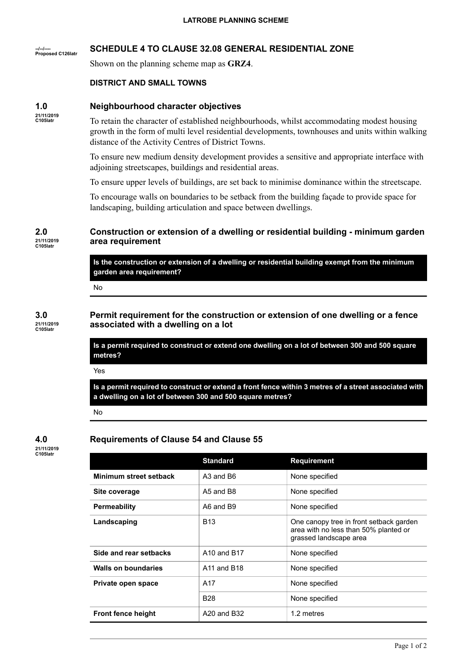## **--/--/---- Proposed C126latr SCHEDULE 4 TO CLAUSE 32.08 GENERAL RESIDENTIAL ZONE**

Shown on the planning scheme map as **GRZ4**.

## **DISTRICT AND SMALL TOWNS**

# **Neighbourhood character objectives**

**21/11/2019 C105latr**

**1.0**

To retain the character of established neighbourhoods, whilst accommodating modest housing growth in the form of multi level residential developments, townhouses and units within walking distance of the Activity Centres of District Towns.

To ensure new medium density development provides a sensitive and appropriate interface with adjoining streetscapes, buildings and residential areas.

To ensure upper levels of buildings, are set back to minimise dominance within the streetscape.

To encourage walls on boundaries to be setback from the building façade to provide space for landscaping, building articulation and space between dwellings.

# **Construction or extension of a dwelling or residential building - minimum garden area requirement**

**Is the construction or extension of a dwelling or residential building exempt from the minimum garden area requirement?**

No

## **3.0 21/11/2019 C105latr**

**2.0 21/11/2019 C105latr**

> **Permit requirement for the construction or extension of one dwelling or a fence associated with a dwelling on a lot**

Is a permit required to construct or extend one dwelling on a lot of between 300 and 500 square **metres?**

Yes

Is a permit required to construct or extend a front fence within 3 metres of a street associated with **a dwelling on a lot of between 300 and 500 square metres?**

No

## **4.0 21/11/2019 C105latr**

# **Requirements of Clause 54 and Clause 55**

|                            | <b>Standard</b>                     | <b>Requirement</b>                                                                                         |
|----------------------------|-------------------------------------|------------------------------------------------------------------------------------------------------------|
| Minimum street setback     | A3 and B6                           | None specified                                                                                             |
| Site coverage              | A5 and B8                           | None specified                                                                                             |
| <b>Permeability</b>        | A6 and B9                           | None specified                                                                                             |
| Landscaping                | <b>B13</b>                          | One canopy tree in front setback garden<br>area with no less than 50% planted or<br>grassed landscape area |
| Side and rear setbacks     | A10 and B17                         | None specified                                                                                             |
| <b>Walls on boundaries</b> | A <sub>11</sub> and B <sub>18</sub> | None specified                                                                                             |
| Private open space         | A17                                 | None specified                                                                                             |
|                            | <b>B28</b>                          | None specified                                                                                             |
| <b>Front fence height</b>  | A20 and B32                         | 1.2 metres                                                                                                 |